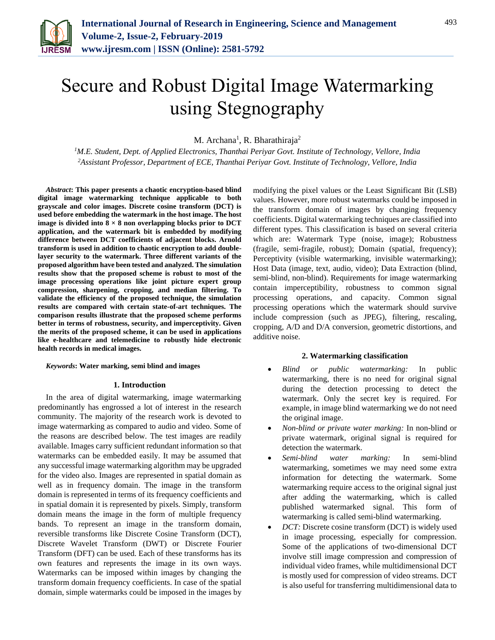

M. Archana<sup>1</sup>, R. Bharathiraja<sup>2</sup>

*<sup>1</sup>M.E. Student, Dept. of Applied Electronics, Thanthai Periyar Govt. Institute of Technology, Vellore, India <sup>2</sup>Assistant Professor, Department of ECE, Thanthai Periyar Govt. Institute of Technology, Vellore, India*

*Abstract***: This paper presents a chaotic encryption-based blind digital image watermarking technique applicable to both grayscale and color images. Discrete cosine transform (DCT) is used before embedding the watermark in the host image. The host image is divided into**  $8 \times 8$  **non overlapping blocks prior to DCT application, and the watermark bit is embedded by modifying difference between DCT coefficients of adjacent blocks. Arnold transform is used in addition to chaotic encryption to add doublelayer security to the watermark. Three different variants of the proposed algorithm have been tested and analyzed. The simulation results show that the proposed scheme is robust to most of the image processing operations like joint picture expert group compression, sharpening, cropping, and median filtering. To validate the efficiency of the proposed technique, the simulation results are compared with certain state-of-art techniques. The comparison results illustrate that the proposed scheme performs better in terms of robustness, security, and imperceptivity. Given the merits of the proposed scheme, it can be used in applications like e-healthcare and telemedicine to robustly hide electronic health records in medical images.**

*Keywords***: Water marking, semi blind and images**

### **1. Introduction**

In the area of digital watermarking, image watermarking predominantly has engrossed a lot of interest in the research community. The majority of the research work is devoted to image watermarking as compared to audio and video. Some of the reasons are described below. The test images are readily available. Images carry sufficient redundant information so that watermarks can be embedded easily. It may be assumed that any successful image watermarking algorithm may be upgraded for the video also. Images are represented in spatial domain as well as in frequency domain. The image in the transform domain is represented in terms of its frequency coefficients and in spatial domain it is represented by pixels. Simply, transform domain means the image in the form of multiple frequency bands. To represent an image in the transform domain, reversible transforms like Discrete Cosine Transform (DCT), Discrete Wavelet Transform (DWT) or Discrete Fourier Transform (DFT) can be used. Each of these transforms has its own features and represents the image in its own ways. Watermarks can be imposed within images by changing the transform domain frequency coefficients. In case of the spatial domain, simple watermarks could be imposed in the images by modifying the pixel values or the Least Significant Bit (LSB) values. However, more robust watermarks could be imposed in the transform domain of images by changing frequency coefficients. Digital watermarking techniques are classified into different types. This classification is based on several criteria which are: Watermark Type (noise, image); Robustness (fragile, semi-fragile, robust); Domain (spatial, frequency); Perceptivity (visible watermarking, invisible watermarking); Host Data (image, text, audio, video); Data Extraction (blind, semi-blind, non-blind). Requirements for image watermarking contain imperceptibility, robustness to common signal processing operations, and capacity. Common signal processing operations which the watermark should survive include compression (such as JPEG), filtering, rescaling, cropping, A/D and D/A conversion, geometric distortions, and additive noise.

## **2. Watermarking classification**

- *Blind or public watermarking:* In public watermarking, there is no need for original signal during the detection processing to detect the watermark. Only the secret key is required. For example, in image blind watermarking we do not need the original image.
- *Non-blind or private water marking:* In non-blind or private watermark, original signal is required for detection the watermark.
- *Semi-blind water marking:* In semi-blind watermarking, sometimes we may need some extra information for detecting the watermark. Some watermarking require access to the original signal just after adding the watermarking, which is called published watermarked signal. This form of watermarking is called semi-blind watermarking.
- *DCT:* Discrete cosine transform (DCT) is widely used in image processing, especially for compression. Some of the applications of two-dimensional DCT involve still image compression and compression of individual video frames, while multidimensional DCT is mostly used for compression of video streams. DCT is also useful for transferring multidimensional data to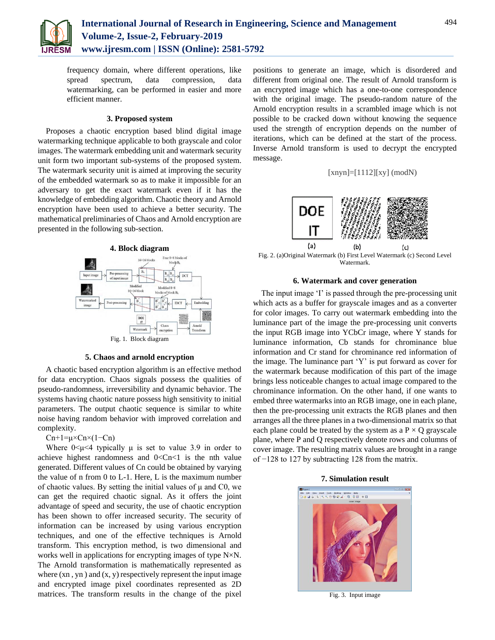

frequency domain, where different operations, like spread spectrum, data compression, data watermarking, can be performed in easier and more efficient manner.

# **3. Proposed system**

Proposes a chaotic encryption based blind digital image watermarking technique applicable to both grayscale and color images. The watermark embedding unit and watermark security unit form two important sub-systems of the proposed system. The watermark security unit is aimed at improving the security of the embedded watermark so as to make it impossible for an adversary to get the exact watermark even if it has the knowledge of embedding algorithm. Chaotic theory and Arnold encryption have been used to achieve a better security. The mathematical preliminaries of Chaos and Arnold encryption are presented in the following sub-section.



## **5. Chaos and arnold encryption**

A chaotic based encryption algorithm is an effective method for data encryption. Chaos signals possess the qualities of pseudo-randomness, irreversibility and dynamic behavior. The systems having chaotic nature possess high sensitivity to initial parameters. The output chaotic sequence is similar to white noise having random behavior with improved correlation and complexity.

# $Cn+1=\mu\times Cn\times(1-Cn)$

Where  $0 \le \mu \le 4$  typically  $\mu$  is set to value 3.9 in order to achieve highest randomness and  $0 < Cn < 1$  is the nth value generated. Different values of Cn could be obtained by varying the value of n from 0 to L-1. Here, L is the maximum number of chaotic values. By setting the initial values of  $\mu$  and C0, we can get the required chaotic signal. As it offers the joint advantage of speed and security, the use of chaotic encryption has been shown to offer increased security. The security of information can be increased by using various encryption techniques, and one of the effective techniques is Arnold transform. This encryption method, is two dimensional and works well in applications for encrypting images of type N×N. The Arnold transformation is mathematically represented as where  $(xn, yn)$  and  $(x, y)$  respectively represent the input image and encrypted image pixel coordinates represented as 2D matrices. The transform results in the change of the pixel positions to generate an image, which is disordered and different from original one. The result of Arnold transform is an encrypted image which has a one-to-one correspondence with the original image. The pseudo-random nature of the Arnold encryption results in a scrambled image which is not possible to be cracked down without knowing the sequence used the strength of encryption depends on the number of iterations, which can be defined at the start of the process. Inverse Arnold transform is used to decrypt the encrypted message.





Fig. 2. (a)Original Watermark (b) First Level Watermark (c) Second Level Watermark.

# **6. Watermark and cover generation**

The input image 'I' is passed through the pre-processing unit which acts as a buffer for grayscale images and as a converter for color images. To carry out watermark embedding into the luminance part of the image the pre-processing unit converts the input RGB image into YCbCr image, where Y stands for luminance information, Cb stands for chrominance blue information and Cr stand for chrominance red information of the image. The luminance part 'Y' is put forward as cover for the watermark because modification of this part of the image brings less noticeable changes to actual image compared to the chrominance information. On the other hand, if one wants to embed three watermarks into an RGB image, one in each plane, then the pre-processing unit extracts the RGB planes and then arranges all the three planes in a two-dimensional matrix so that each plane could be treated by the system as a  $P \times Q$  grayscale plane, where P and Q respectively denote rows and columns of cover image. The resulting matrix values are brought in a range of −128 to 127 by subtracting 128 from the matrix.



**7. Simulation result**

Fig. 3. Input image